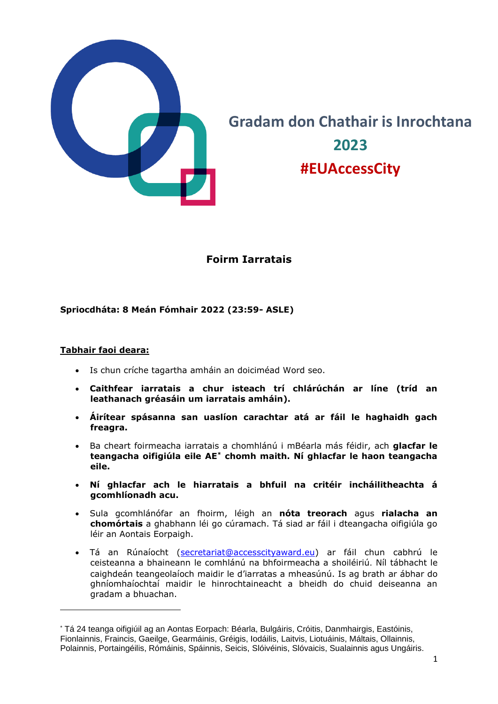

# **Gradam don Chathair is Inrochtana 2023 #EUAccessCity**

# **Foirm Iarratais**

#### **Spriocdháta: 8 Meán Fómhair 2022 (23:59- ASLE)**

#### **Tabhair faoi deara:**

- Is chun críche tagartha amháin an doiciméad Word seo.
- **Caithfear iarratais a chur isteach trí chlárúchán ar líne (tríd an leathanach gréasáin um iarratais amháin).**
- **Áirítear spásanna san uaslíon carachtar atá ar fáil le haghaidh gach freagra.**
- Ba cheart foirmeacha iarratais a chomhlánú i mBéarla más féidir, ach **glacfar le teangacha oifigiúla eile AE\* chomh maith. Ní ghlacfar le haon teangacha eile.**
- **Ní ghlacfar ach le hiarratais a bhfuil na critéir incháilitheachta á gcomhlíonadh acu.**
- Sula gcomhlánófar an fhoirm, léigh an **nóta treorach** agus **rialacha an chomórtais** a ghabhann léi go cúramach. Tá siad ar fáil i dteangacha oifigiúla go léir an Aontais Eorpaigh.
- Tá an Rúnaíocht [\(secretariat@accesscityaward.eu\)](mailto:secretariat@accesscityaward.eu) ar fáil chun cabhrú le ceisteanna a bhaineann le comhlánú na bhfoirmeacha a shoiléiriú. Níl tábhacht le caighdeán teangeolaíoch maidir le d'iarratas a mheasúnú. Is ag brath ar ábhar do ghníomhaíochtaí maidir le hinrochtaineacht a bheidh do chuid deiseanna an gradam a bhuachan.

<sup>\*</sup> Tá 24 teanga oifigiúil ag an Aontas Eorpach: Béarla, Bulgáiris, Cróitis, Danmhairgis, Eastóinis, Fionlainnis, Fraincis, Gaeilge, Gearmáinis, Gréigis, Iodáilis, Laitvis, Liotuáinis, Máltais, Ollainnis, Polainnis, Portaingéilis, Rómáinis, Spáinnis, Seicis, Slóivéinis, Slóvaicis, Sualainnis agus Ungáiris.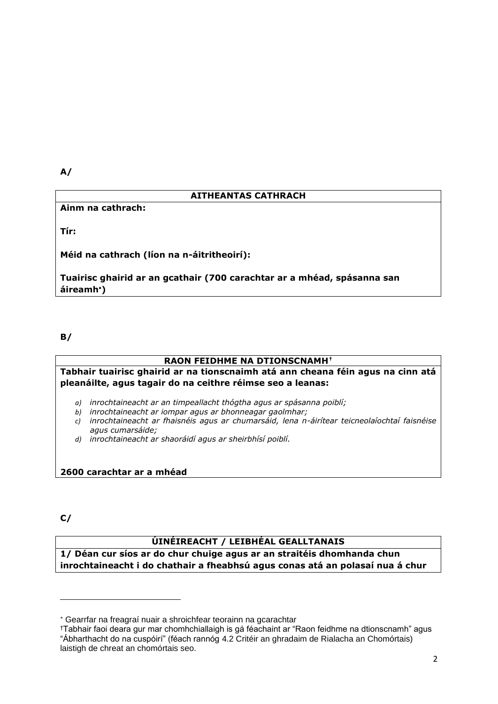**A/**

## **AITHEANTAS CATHRACH**

**Ainm na cathrach:**

**Tír:**

**Méid na cathrach (líon na n-áitritheoirí):**

**Tuairisc ghairid ar an gcathair (700 carachtar ar a mhéad, spásanna san áireamh)**

**B/**

#### **RAON FEIDHME NA DTIONSCNAMH†**

**Tabhair tuairisc ghairid ar na tionscnaimh atá ann cheana féin agus na cinn atá pleanáilte, agus tagair do na ceithre réimse seo a leanas:** 

*a) inrochtaineacht ar an timpeallacht thógtha agus ar spásanna poiblí;* 

*b) inrochtaineacht ar iompar agus ar bhonneagar gaolmhar;* 

- *c) inrochtaineacht ar fhaisnéis agus ar chumarsáid, lena n-áirítear teicneolaíochtaí faisnéise agus cumarsáide;*
- *d) inrochtaineacht ar shaoráidí agus ar sheirbhísí poiblí.*

### **2600 carachtar ar a mhéad**

**C/**

#### **ÚINÉIREACHT / LEIBHÉAL GEALLTANAIS**

**1/ Déan cur síos ar do chur chuige agus ar an straitéis dhomhanda chun inrochtaineacht i do chathair a fheabhsú agus conas atá an polasaí nua á chur** 

Gearrfar na freagraí nuair a shroichfear teorainn na gcarachtar

<sup>†</sup>Tabhair faoi deara gur mar chomhchiallaigh is gá féachaint ar "Raon feidhme na dtionscnamh" agus "Ábharthacht do na cuspóirí" (féach rannóg 4.2 Critéir an ghradaim de Rialacha an Chomórtais) laistigh de chreat an chomórtais seo.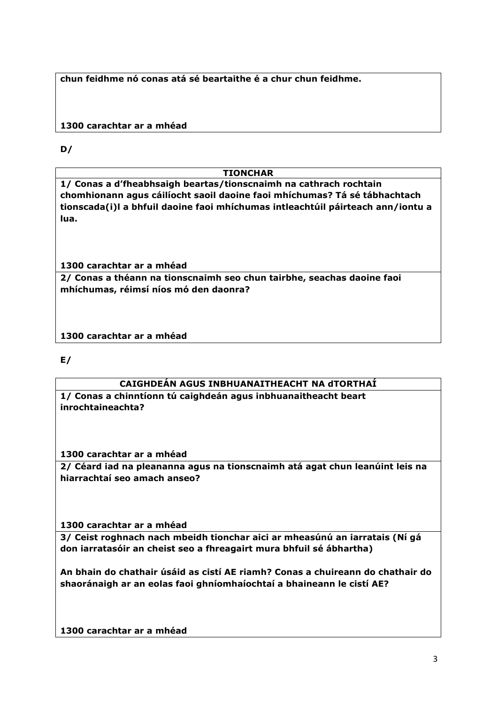**chun feidhme nó conas atá sé beartaithe é a chur chun feidhme.** 

## **1300 carachtar ar a mhéad**

**D/**

## **TIONCHAR**

**1/ Conas a d'fheabhsaigh beartas/tionscnaimh na cathrach rochtain chomhionann agus cáilíocht saoil daoine faoi mhíchumas? Tá sé tábhachtach tionscada(i)l a bhfuil daoine faoi mhíchumas intleachtúil páirteach ann/iontu a lua.** 

**1300 carachtar ar a mhéad** 

**2/ Conas a théann na tionscnaimh seo chun tairbhe, seachas daoine faoi mhíchumas, réimsí níos mó den daonra?** 

**1300 carachtar ar a mhéad** 

**E/**

## **CAIGHDEÁN AGUS INBHUANAITHEACHT NA dTORTHAÍ**

**1/ Conas a chinntíonn tú caighdeán agus inbhuanaitheacht beart inrochtaineachta?**

**1300 carachtar ar a mhéad** 

**2/ Céard iad na pleananna agus na tionscnaimh atá agat chun leanúint leis na hiarrachtaí seo amach anseo?**

**1300 carachtar ar a mhéad** 

**3/ Ceist roghnach nach mbeidh tionchar aici ar mheasúnú an iarratais (Ní gá don iarratasóir an cheist seo a fhreagairt mura bhfuil sé ábhartha)**

**An bhain do chathair úsáid as cistí AE riamh? Conas a chuireann do chathair do shaoránaigh ar an eolas faoi ghníomhaíochtaí a bhaineann le cistí AE?**

**1300 carachtar ar a mhéad**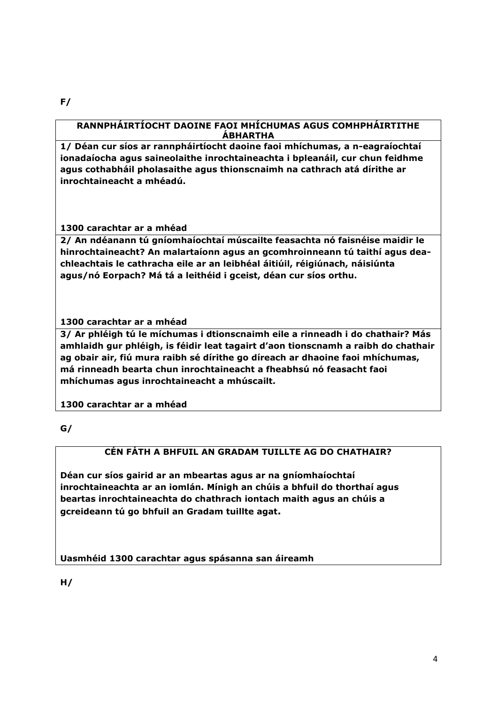#### **RANNPHÁIRTÍOCHT DAOINE FAOI MHÍCHUMAS AGUS COMHPHÁIRTITHE ÁBHARTHA**

**1/ Déan cur síos ar rannpháirtíocht daoine faoi mhíchumas, a n-eagraíochtaí ionadaíocha agus saineolaithe inrochtaineachta i bpleanáil, cur chun feidhme agus cothabháil pholasaithe agus thionscnaimh na cathrach atá dírithe ar inrochtaineacht a mhéadú.** 

**1300 carachtar ar a mhéad** 

**2/ An ndéanann tú gníomhaíochtaí múscailte feasachta nó faisnéise maidir le hinrochtaineacht? An malartaíonn agus an gcomhroinneann tú taithí agus deachleachtais le cathracha eile ar an leibhéal áitiúil, réigiúnach, náisiúnta agus/nó Eorpach? Má tá a leithéid i gceist, déan cur síos orthu.** 

**1300 carachtar ar a mhéad** 

**3/ Ar phléigh tú le míchumas i dtionscnaimh eile a rinneadh i do chathair? Más amhlaidh gur phléigh, is féidir leat tagairt d'aon tionscnamh a raibh do chathair ag obair air, fiú mura raibh sé dírithe go díreach ar dhaoine faoi mhíchumas, má rinneadh bearta chun inrochtaineacht a fheabhsú nó feasacht faoi mhíchumas agus inrochtaineacht a mhúscailt.** 

**1300 carachtar ar a mhéad**

**G/**

### **CÉN FÁTH A BHFUIL AN GRADAM TUILLTE AG DO CHATHAIR?**

**Déan cur síos gairid ar an mbeartas agus ar na gníomhaíochtaí inrochtaineachta ar an iomlán. Mínigh an chúis a bhfuil do thorthaí agus beartas inrochtaineachta do chathrach iontach maith agus an chúis a gcreideann tú go bhfuil an Gradam tuillte agat.**

**Uasmhéid 1300 carachtar agus spásanna san áireamh**

**H/** 

**F/**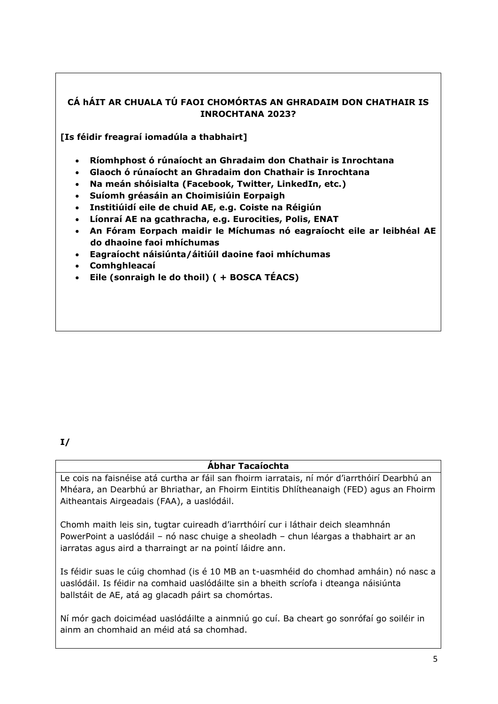## **CÁ hÁIT AR CHUALA TÚ FAOI CHOMÓRTAS AN GHRADAIM DON CHATHAIR IS INROCHTANA 2023?**

**[Is féidir freagraí iomadúla a thabhairt]**

- **Ríomhphost ó rúnaíocht an Ghradaim don Chathair is Inrochtana**
- **Glaoch ó rúnaíocht an Ghradaim don Chathair is Inrochtana**
- **Na meán shóisialta (Facebook, Twitter, LinkedIn, etc.)**
- **Suíomh gréasáin an Choimisiúin Eorpaigh**
- **Institiúidí eile de chuid AE, e.g. Coiste na Réigiún**
- **Líonraí AE na gcathracha, e.g. Eurocities, Polis, ENAT**
- **An Fóram Eorpach maidir le Míchumas nó eagraíocht eile ar leibhéal AE do dhaoine faoi mhíchumas**
- **Eagraíocht náisiúnta/áitiúil daoine faoi mhíchumas**
- **Comhghleacaí**
- **Eile (sonraigh le do thoil) ( + BOSCA TÉACS)**

#### **Ábhar Tacaíochta**

Le cois na faisnéise atá curtha ar fáil san fhoirm iarratais, ní mór d'iarrthóirí Dearbhú an Mhéara, an Dearbhú ar Bhriathar, an Fhoirm Eintitis Dhlítheanaigh (FED) agus an Fhoirm Aitheantais Airgeadais (FAA), a uaslódáil.

Chomh maith leis sin, tugtar cuireadh d'iarrthóirí cur i láthair deich sleamhnán PowerPoint a uaslódáil – nó nasc chuige a sheoladh – chun léargas a thabhairt ar an iarratas agus aird a tharraingt ar na pointí láidre ann.

Is féidir suas le cúig chomhad (is é 10 MB an t-uasmhéid do chomhad amháin) nó nasc a uaslódáil. Is féidir na comhaid uaslódáilte sin a bheith scríofa i dteanga náisiúnta ballstáit de AE, atá ag glacadh páirt sa chomórtas.

Ní mór gach doiciméad uaslódáilte a ainmniú go cuí. Ba cheart go sonrófaí go soiléir in ainm an chomhaid an méid atá sa chomhad.